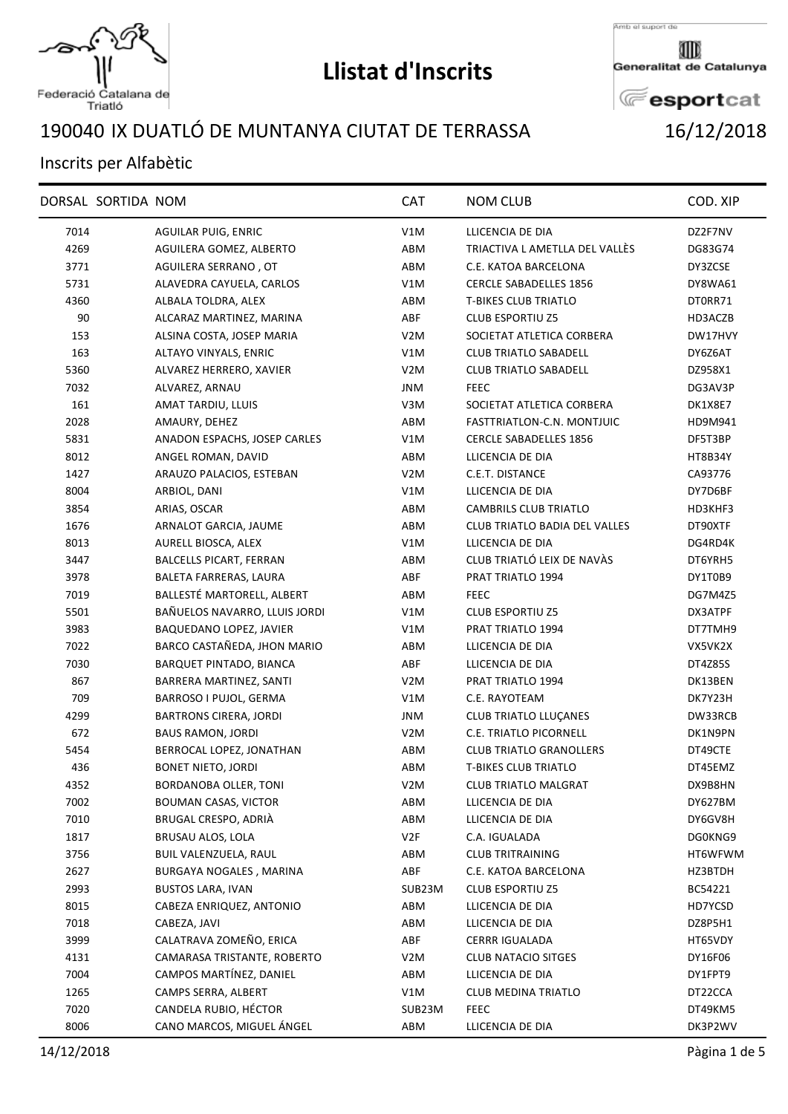

Federació Catalana de<br>Triatló

## **Llistat d'Inscrits**

Amb el suport de

Generalitat de Catalunya

**E**esportcat

## IX DUATLÓ DE MUNTANYA CIUTAT DE TERRASSA 16/12/2018

## Inscrits per Alfabètic

|      | DORSAL SORTIDA NOM |                                | <b>CAT</b>       | <b>NOM CLUB</b>                      | COD. XIP |
|------|--------------------|--------------------------------|------------------|--------------------------------------|----------|
| 7014 |                    | <b>AGUILAR PUIG, ENRIC</b>     | V1M              | LLICENCIA DE DIA                     | DZ2F7NV  |
| 4269 |                    | AGUILERA GOMEZ, ALBERTO        | ABM              | TRIACTIVA L AMETLLA DEL VALLÈS       | DG83G74  |
| 3771 |                    | AGUILERA SERRANO, OT           | ABM              | C.E. KATOA BARCELONA                 | DY3ZCSE  |
| 5731 |                    | ALAVEDRA CAYUELA, CARLOS       | V1M              | <b>CERCLE SABADELLES 1856</b>        | DY8WA61  |
| 4360 |                    | ALBALA TOLDRA, ALEX            | ABM              | <b>T-BIKES CLUB TRIATLO</b>          | DT0RR71  |
| 90   |                    | ALCARAZ MARTINEZ, MARINA       | ABF              | <b>CLUB ESPORTIU Z5</b>              | HD3ACZB  |
| 153  |                    | ALSINA COSTA, JOSEP MARIA      | V <sub>2</sub> M | SOCIETAT ATLETICA CORBERA            | DW17HVY  |
| 163  |                    | ALTAYO VINYALS, ENRIC          | V1M              | <b>CLUB TRIATLO SABADELL</b>         | DY6Z6AT  |
| 5360 |                    | ALVAREZ HERRERO, XAVIER        | V <sub>2</sub> M | <b>CLUB TRIATLO SABADELL</b>         | DZ958X1  |
| 7032 |                    | ALVAREZ, ARNAU                 | <b>JNM</b>       | <b>FEEC</b>                          | DG3AV3P  |
| 161  |                    | AMAT TARDIU, LLUIS             | V3M              | SOCIETAT ATLETICA CORBERA            | DK1X8E7  |
| 2028 |                    | AMAURY, DEHEZ                  | ABM              | FASTTRIATLON-C.N. MONTJUIC           | HD9M941  |
| 5831 |                    | ANADON ESPACHS, JOSEP CARLES   | V1M              | <b>CERCLE SABADELLES 1856</b>        | DF5T3BP  |
| 8012 |                    | ANGEL ROMAN, DAVID             | ABM              | LLICENCIA DE DIA                     | HT8B34Y  |
| 1427 |                    | ARAUZO PALACIOS, ESTEBAN       | V <sub>2</sub> M | C.E.T. DISTANCE                      | CA93776  |
| 8004 |                    | ARBIOL, DANI                   | V1M              | LLICENCIA DE DIA                     | DY7D6BF  |
| 3854 |                    | ARIAS, OSCAR                   | ABM              | <b>CAMBRILS CLUB TRIATLO</b>         | HD3KHF3  |
| 1676 |                    | ARNALOT GARCIA, JAUME          | ABM              | <b>CLUB TRIATLO BADIA DEL VALLES</b> | DT90XTF  |
| 8013 |                    | AURELL BIOSCA, ALEX            | V1M              | LLICENCIA DE DIA                     | DG4RD4K  |
| 3447 |                    | <b>BALCELLS PICART, FERRAN</b> | ABM              | CLUB TRIATLÓ LEIX DE NAVÀS           | DT6YRH5  |
| 3978 |                    | BALETA FARRERAS, LAURA         | ABF              | PRAT TRIATLO 1994                    | DY1T0B9  |
| 7019 |                    | BALLESTÉ MARTORELL, ALBERT     | ABM              | <b>FEEC</b>                          | DG7M4Z5  |
| 5501 |                    | BAÑUELOS NAVARRO, LLUIS JORDI  | V1M              | <b>CLUB ESPORTIU Z5</b>              | DX3ATPF  |
| 3983 |                    | BAQUEDANO LOPEZ, JAVIER        | V1M              | PRAT TRIATLO 1994                    | DT7TMH9  |
| 7022 |                    | BARCO CASTAÑEDA, JHON MARIO    | ABM              | LLICENCIA DE DIA                     | VX5VK2X  |
| 7030 |                    | BARQUET PINTADO, BIANCA        | ABF              | LLICENCIA DE DIA                     | DT4Z85S  |
| 867  |                    | BARRERA MARTINEZ, SANTI        | V <sub>2</sub> M | PRAT TRIATLO 1994                    | DK13BEN  |
| 709  |                    | BARROSO I PUJOL, GERMA         | V1M              | C.E. RAYOTEAM                        | DK7Y23H  |
| 4299 |                    | <b>BARTRONS CIRERA, JORDI</b>  | JNM              | <b>CLUB TRIATLO LLUÇANES</b>         | DW33RCB  |
| 672  |                    | <b>BAUS RAMON, JORDI</b>       | V <sub>2</sub> M | C.E. TRIATLO PICORNELL               | DK1N9PN  |
| 5454 |                    | BERROCAL LOPEZ, JONATHAN       | ABM              | <b>CLUB TRIATLO GRANOLLERS</b>       | DT49CTE  |
| 436  |                    | <b>BONET NIETO, JORDI</b>      | ABM              | <b>T-BIKES CLUB TRIATLO</b>          | DT45EMZ  |
| 4352 |                    | BORDANOBA OLLER, TONI          | V <sub>2</sub> M | <b>CLUB TRIATLO MALGRAT</b>          | DX9B8HN  |
| 7002 |                    | <b>BOUMAN CASAS, VICTOR</b>    | ABM              | LLICENCIA DE DIA                     | DY627BM  |
| 7010 |                    | BRUGAL CRESPO, ADRIÀ           | ABM              | LLICENCIA DE DIA                     | DY6GV8H  |
| 1817 |                    | BRUSAU ALOS, LOLA              | V2F              | C.A. IGUALADA                        | DG0KNG9  |
| 3756 |                    | BUIL VALENZUELA, RAUL          | ABM              | <b>CLUB TRITRAINING</b>              | HT6WFWM  |
| 2627 |                    | BURGAYA NOGALES, MARINA        | ABF              | C.E. KATOA BARCELONA                 | HZ3BTDH  |
| 2993 |                    | <b>BUSTOS LARA, IVAN</b>       | SUB23M           | <b>CLUB ESPORTIU Z5</b>              | BC54221  |
| 8015 |                    | CABEZA ENRIQUEZ, ANTONIO       | ABM              | LLICENCIA DE DIA                     | HD7YCSD  |
| 7018 |                    | CABEZA, JAVI                   | ABM              | LLICENCIA DE DIA                     | DZ8P5H1  |
| 3999 |                    | CALATRAVA ZOMEÑO, ERICA        | ABF              | <b>CERRR IGUALADA</b>                | HT65VDY  |
| 4131 |                    | CAMARASA TRISTANTE, ROBERTO    | V <sub>2</sub> M | <b>CLUB NATACIO SITGES</b>           | DY16F06  |
| 7004 |                    | CAMPOS MARTÍNEZ, DANIEL        | ABM              | LLICENCIA DE DIA                     | DY1FPT9  |
| 1265 |                    | CAMPS SERRA, ALBERT            | V1M              | <b>CLUB MEDINA TRIATLO</b>           | DT22CCA  |
| 7020 |                    | CANDELA RUBIO, HÉCTOR          | SUB23M           | <b>FEEC</b>                          | DT49KM5  |
| 8006 |                    | CANO MARCOS, MIGUEL ÁNGEL      | ABM              | LLICENCIA DE DIA                     | DK3P2WV  |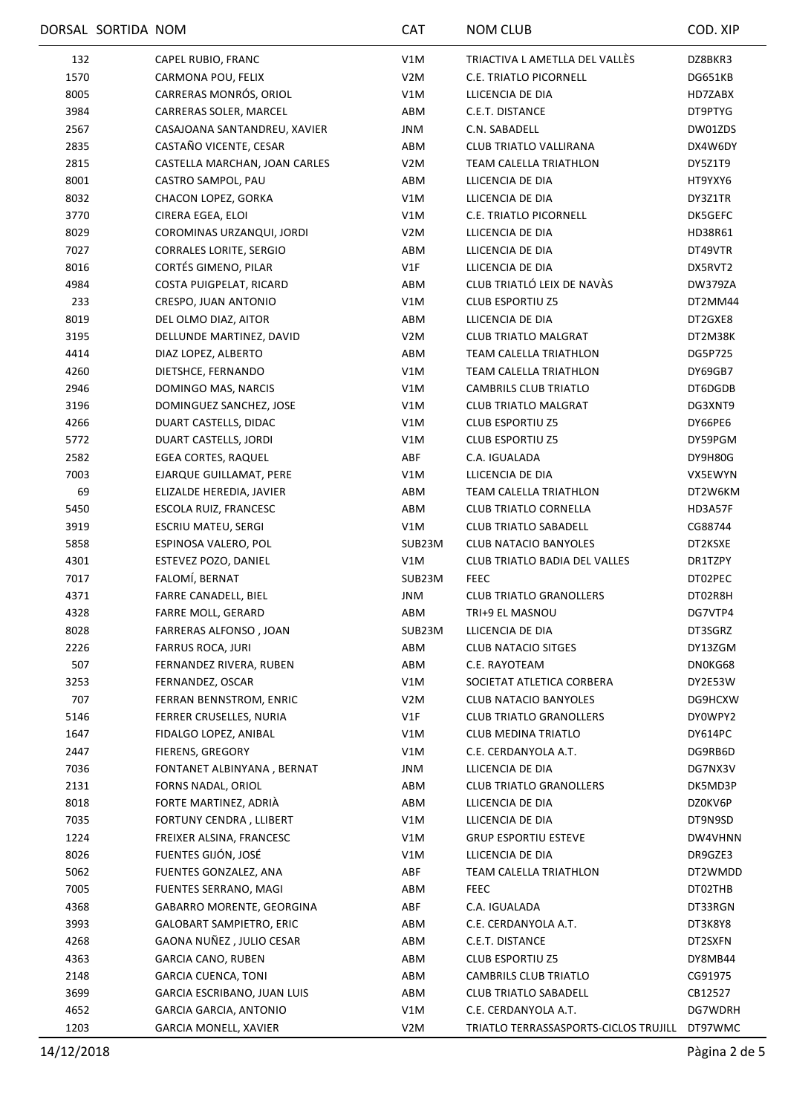|      | DORSAL SORTIDA NOM |                                 | <b>CAT</b>       | <b>NOM CLUB</b>                               | COD. XIP       |
|------|--------------------|---------------------------------|------------------|-----------------------------------------------|----------------|
| 132  |                    | CAPEL RUBIO, FRANC              | V1M              | TRIACTIVA L AMETLLA DEL VALLÈS                | DZ8BKR3        |
| 1570 |                    | CARMONA POU, FELIX              | V <sub>2</sub> M | <b>C.E. TRIATLO PICORNELL</b>                 | DG651KB        |
| 8005 |                    | CARRERAS MONRÓS, ORIOL          | V1M              | LLICENCIA DE DIA                              | HD7ZABX        |
| 3984 |                    | CARRERAS SOLER, MARCEL          | ABM              | C.E.T. DISTANCE                               | DT9PTYG        |
| 2567 |                    | CASAJOANA SANTANDREU, XAVIER    | JNM              | C.N. SABADELL                                 | DW01ZDS        |
| 2835 |                    | CASTAÑO VICENTE, CESAR          | ABM              | CLUB TRIATLO VALLIRANA                        | DX4W6DY        |
| 2815 |                    | CASTELLA MARCHAN, JOAN CARLES   | V <sub>2</sub> M | TEAM CALELLA TRIATHLON                        | DY5Z1T9        |
| 8001 |                    | CASTRO SAMPOL, PAU              | ABM              | LLICENCIA DE DIA                              | HT9YXY6        |
| 8032 |                    | CHACON LOPEZ, GORKA             | V1M              | LLICENCIA DE DIA                              | DY3Z1TR        |
| 3770 |                    | CIRERA EGEA, ELOI               | V1M              | C.E. TRIATLO PICORNELL                        | DK5GEFC        |
| 8029 |                    | COROMINAS URZANQUI, JORDI       | V2M              | LLICENCIA DE DIA                              | HD38R61        |
| 7027 |                    | <b>CORRALES LORITE, SERGIO</b>  | ABM              | LLICENCIA DE DIA                              | DT49VTR        |
| 8016 |                    | CORTÉS GIMENO, PILAR            | V1F              | LLICENCIA DE DIA                              | DX5RVT2        |
| 4984 |                    | COSTA PUIGPELAT, RICARD         | ABM              | CLUB TRIATLÓ LEIX DE NAVÀS                    | <b>DW379ZA</b> |
| 233  |                    | CRESPO, JUAN ANTONIO            | V1M              | <b>CLUB ESPORTIU Z5</b>                       | DT2MM44        |
| 8019 |                    | DEL OLMO DIAZ, AITOR            | ABM              | LLICENCIA DE DIA                              | DT2GXE8        |
| 3195 |                    | DELLUNDE MARTINEZ, DAVID        | V2M              | <b>CLUB TRIATLO MALGRAT</b>                   | DT2M38K        |
| 4414 |                    | DIAZ LOPEZ, ALBERTO             | ABM              | TEAM CALELLA TRIATHLON                        | DG5P725        |
| 4260 |                    | DIETSHCE, FERNANDO              | V1M              | TEAM CALELLA TRIATHLON                        | DY69GB7        |
| 2946 |                    | DOMINGO MAS, NARCIS             | V1M              | CAMBRILS CLUB TRIATLO                         | DT6DGDB        |
| 3196 |                    | DOMINGUEZ SANCHEZ, JOSE         | V1M              | <b>CLUB TRIATLO MALGRAT</b>                   | DG3XNT9        |
| 4266 |                    | DUART CASTELLS, DIDAC           | V1M              | <b>CLUB ESPORTIU Z5</b>                       | DY66PE6        |
| 5772 |                    | DUART CASTELLS, JORDI           | V1M              | <b>CLUB ESPORTIU Z5</b>                       | DY59PGM        |
| 2582 |                    | <b>EGEA CORTES, RAQUEL</b>      | ABF              | C.A. IGUALADA                                 | DY9H80G        |
| 7003 |                    | EJARQUE GUILLAMAT, PERE         | V1M              | LLICENCIA DE DIA                              | VX5EWYN        |
| 69   |                    | ELIZALDE HEREDIA, JAVIER        | ABM              | TEAM CALELLA TRIATHLON                        | DT2W6KM        |
| 5450 |                    | ESCOLA RUIZ, FRANCESC           | ABM              | <b>CLUB TRIATLO CORNELLA</b>                  | HD3A57F        |
| 3919 |                    | ESCRIU MATEU, SERGI             | V1M              | <b>CLUB TRIATLO SABADELL</b>                  | CG88744        |
| 5858 |                    | ESPINOSA VALERO, POL            | SUB23M           | <b>CLUB NATACIO BANYOLES</b>                  | DT2KSXE        |
| 4301 |                    | ESTEVEZ POZO, DANIEL            | V1M              | <b>CLUB TRIATLO BADIA DEL VALLES</b>          | DR1TZPY        |
| 7017 |                    | FALOMÍ, BERNAT                  | SUB23M           | <b>FEEC</b>                                   | DT02PEC        |
| 4371 |                    | FARRE CANADELL, BIEL            | <b>JNM</b>       | <b>CLUB TRIATLO GRANOLLERS</b>                | DT02R8H        |
| 4328 |                    | FARRE MOLL, GERARD              | ABM              | TRI+9 EL MASNOU                               | DG7VTP4        |
| 8028 |                    | FARRERAS ALFONSO, JOAN          | SUB23M           | LLICENCIA DE DIA                              | DT3SGRZ        |
| 2226 |                    | <b>FARRUS ROCA, JURI</b>        | ABM              | <b>CLUB NATACIO SITGES</b>                    | DY13ZGM        |
| 507  |                    | FERNANDEZ RIVERA, RUBEN         | ABM              | C.E. RAYOTEAM                                 | DN0KG68        |
| 3253 |                    | FERNANDEZ, OSCAR                | V1M              | SOCIETAT ATLETICA CORBERA                     | DY2E53W        |
| 707  |                    | FERRAN BENNSTROM, ENRIC         | V2M              | CLUB NATACIO BANYOLES                         | DG9HCXW        |
| 5146 |                    | FERRER CRUSELLES, NURIA         | V1F              | <b>CLUB TRIATLO GRANOLLERS</b>                | DY0WPY2        |
| 1647 |                    | FIDALGO LOPEZ, ANIBAL           | V1M              | CLUB MEDINA TRIATLO                           | DY614PC        |
| 2447 |                    | FIERENS, GREGORY                | V1M              | C.E. CERDANYOLA A.T.                          | DG9RB6D        |
| 7036 |                    | FONTANET ALBINYANA, BERNAT      | JNM              | LLICENCIA DE DIA                              | DG7NX3V        |
| 2131 |                    | FORNS NADAL, ORIOL              | ABM              | <b>CLUB TRIATLO GRANOLLERS</b>                | DK5MD3P        |
| 8018 |                    | FORTE MARTINEZ, ADRIÀ           | ABM              | LLICENCIA DE DIA                              | DZ0KV6P        |
| 7035 |                    | FORTUNY CENDRA, LLIBERT         | V1M              | LLICENCIA DE DIA                              | DT9N9SD        |
| 1224 |                    | FREIXER ALSINA, FRANCESC        | V1M              | <b>GRUP ESPORTIU ESTEVE</b>                   | DW4VHNN        |
| 8026 |                    | FUENTES GIJÓN, JOSÉ             | V1M              | LLICENCIA DE DIA                              | DR9GZE3        |
| 5062 |                    | FUENTES GONZALEZ, ANA           | ABF              | TEAM CALELLA TRIATHLON                        | DT2WMDD        |
| 7005 |                    | FUENTES SERRANO, MAGI           | ABM              | <b>FEEC</b>                                   | DT02THB        |
| 4368 |                    | GABARRO MORENTE, GEORGINA       | ABF              | C.A. IGUALADA                                 | DT33RGN        |
| 3993 |                    | <b>GALOBART SAMPIETRO, ERIC</b> | ABM              | C.E. CERDANYOLA A.T.                          | DT3K8Y8        |
| 4268 |                    | GAONA NUÑEZ, JULIO CESAR        | ABM              | C.E.T. DISTANCE                               | DT2SXFN        |
| 4363 |                    | <b>GARCIA CANO, RUBEN</b>       | ABM              | <b>CLUB ESPORTIU Z5</b>                       | DY8MB44        |
| 2148 |                    | <b>GARCIA CUENCA, TONI</b>      | ABM              | CAMBRILS CLUB TRIATLO                         | CG91975        |
|      |                    |                                 |                  |                                               |                |
| 3699 |                    | GARCIA ESCRIBANO, JUAN LUIS     | ABM              | CLUB TRIATLO SABADELL                         | CB12527        |
| 4652 |                    | GARCIA GARCIA, ANTONIO          | V1M              | C.E. CERDANYOLA A.T.                          | DG7WDRH        |
| 1203 |                    | GARCIA MONELL, XAVIER           | V <sub>2</sub> M | TRIATLO TERRASSASPORTS-CICLOS TRUJILL DT97WMC |                |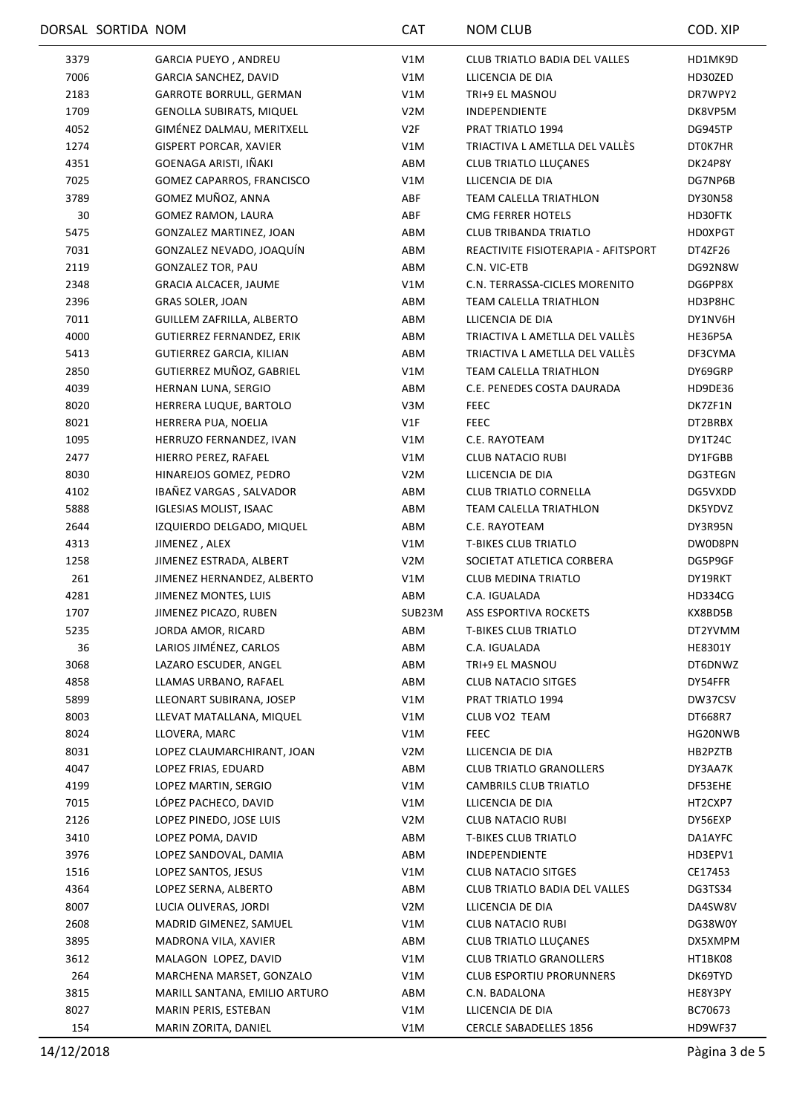|      | DORSAL SORTIDA NOM |                                                    | <b>CAT</b>       | <b>NOM CLUB</b>                                          | COD. XIP       |
|------|--------------------|----------------------------------------------------|------------------|----------------------------------------------------------|----------------|
| 3379 |                    | GARCIA PUEYO, ANDREU                               | V1M              | <b>CLUB TRIATLO BADIA DEL VALLES</b>                     | HD1MK9D        |
| 7006 |                    | GARCIA SANCHEZ, DAVID                              | V1M              | LLICENCIA DE DIA                                         | HD30ZED        |
| 2183 |                    | <b>GARROTE BORRULL, GERMAN</b>                     | V1M              | TRI+9 EL MASNOU                                          | DR7WPY2        |
| 1709 |                    | GENOLLA SUBIRATS, MIQUEL                           | V <sub>2</sub> M | <b>INDEPENDIENTE</b>                                     | DK8VP5M        |
| 4052 |                    | GIMÉNEZ DALMAU, MERITXELL                          | V2F              | PRAT TRIATLO 1994                                        | DG945TP        |
| 1274 |                    | <b>GISPERT PORCAR, XAVIER</b>                      | V1M              | TRIACTIVA L AMETLLA DEL VALLÈS                           | DT0K7HR        |
| 4351 |                    | GOENAGA ARISTI, IÑAKI                              | ABM              | <b>CLUB TRIATLO LLUCANES</b>                             | DK24P8Y        |
| 7025 |                    | GOMEZ CAPARROS, FRANCISCO                          | V1M              | LLICENCIA DE DIA                                         | DG7NP6B        |
| 3789 |                    | GOMEZ MUÑOZ, ANNA                                  | ABF              | TEAM CALELLA TRIATHLON                                   | DY30N58        |
| 30   |                    | <b>GOMEZ RAMON, LAURA</b>                          | ABF              | CMG FERRER HOTELS                                        | HD30FTK        |
| 5475 |                    | GONZALEZ MARTINEZ, JOAN                            | ABM              | <b>CLUB TRIBANDA TRIATLO</b>                             | <b>HD0XPGT</b> |
| 7031 |                    | GONZALEZ NEVADO, JOAQUÍN                           | ABM              | REACTIVITE FISIOTERAPIA - AFITSPORT                      | DT4ZF26        |
| 2119 |                    | <b>GONZALEZ TOR, PAU</b>                           | ABM              | C.N. VIC-ETB                                             | DG92N8W        |
| 2348 |                    | <b>GRACIA ALCACER, JAUME</b>                       | V1M              | C.N. TERRASSA-CICLES MORENITO                            | DG6PP8X        |
| 2396 |                    | <b>GRAS SOLER, JOAN</b>                            | ABM              | TEAM CALELLA TRIATHLON                                   | HD3P8HC        |
| 7011 |                    | GUILLEM ZAFRILLA, ALBERTO                          | ABM              | LLICENCIA DE DIA                                         | DY1NV6H        |
| 4000 |                    | <b>GUTIERREZ FERNANDEZ, ERIK</b>                   | ABM              | TRIACTIVA L AMETLLA DEL VALLÈS                           | HE36P5A        |
| 5413 |                    | GUTIERREZ GARCIA, KILIAN                           | ABM              | TRIACTIVA L AMETLLA DEL VALLÈS                           | DF3CYMA        |
| 2850 |                    | GUTIERREZ MUÑOZ, GABRIEL                           | V1M              | TEAM CALELLA TRIATHLON                                   | DY69GRP        |
| 4039 |                    | HERNAN LUNA, SERGIO                                | ABM              | C.E. PENEDES COSTA DAURADA                               | HD9DE36        |
| 8020 |                    | HERRERA LUQUE, BARTOLO                             | V3M              | <b>FEEC</b>                                              | DK7ZF1N        |
| 8021 |                    | HERRERA PUA, NOELIA                                | V1F              | <b>FEEC</b>                                              | DT2BRBX        |
| 1095 |                    | HERRUZO FERNANDEZ, IVAN                            | V1M              | C.E. RAYOTEAM                                            | DY1T24C        |
| 2477 |                    | HIERRO PEREZ, RAFAEL                               | V1M              | <b>CLUB NATACIO RUBI</b>                                 | DY1FGBB        |
| 8030 |                    | HINAREJOS GOMEZ, PEDRO                             | V <sub>2</sub> M | LLICENCIA DE DIA                                         | DG3TEGN        |
| 4102 |                    | IBAÑEZ VARGAS, SALVADOR                            | ABM              | <b>CLUB TRIATLO CORNELLA</b>                             | DG5VXDD        |
| 5888 |                    | <b>IGLESIAS MOLIST, ISAAC</b>                      | ABM              | TEAM CALELLA TRIATHLON                                   | DK5YDVZ        |
| 2644 |                    | IZQUIERDO DELGADO, MIQUEL                          | ABM              | C.E. RAYOTEAM                                            | DY3R95N        |
|      |                    |                                                    |                  |                                                          |                |
| 4313 |                    | JIMENEZ, ALEX                                      | V1M              | <b>T-BIKES CLUB TRIATLO</b><br>SOCIETAT ATLETICA CORBERA | DW0D8PN        |
| 1258 |                    | JIMENEZ ESTRADA, ALBERT                            | V <sub>2</sub> M | <b>CLUB MEDINA TRIATLO</b>                               | DG5P9GF        |
| 261  |                    | JIMENEZ HERNANDEZ, ALBERTO<br>JIMENEZ MONTES, LUIS | V1M              |                                                          | DY19RKT        |
| 4281 |                    |                                                    | ABM              | C.A. IGUALADA                                            | HD334CG        |
| 1707 |                    | JIMENEZ PICAZO, RUBEN                              | SUB23M           | ASS ESPORTIVA ROCKETS                                    | KX8BD5B        |
| 5235 |                    | JORDA AMOR, RICARD                                 | ABM              | <b>T-BIKES CLUB TRIATLO</b>                              | DT2YVMM        |
| 36   |                    | LARIOS JIMÉNEZ, CARLOS                             | ABM              | C.A. IGUALADA                                            | <b>HE8301Y</b> |
| 3068 |                    | LAZARO ESCUDER, ANGEL                              | ABM              | TRI+9 EL MASNOU                                          | DT6DNWZ        |
| 4858 |                    | LLAMAS URBANO, RAFAEL                              | ABM              | <b>CLUB NATACIO SITGES</b>                               | DY54FFR        |
| 5899 |                    | LLEONART SUBIRANA, JOSEP                           | V1M              | PRAT TRIATLO 1994                                        | DW37CSV        |
| 8003 |                    | LLEVAT MATALLANA, MIQUEL                           | V1M              | CLUB VO2 TEAM                                            | DT668R7        |
| 8024 |                    | LLOVERA, MARC                                      | V1M              | <b>FEEC</b>                                              | HG20NWB        |
| 8031 |                    | LOPEZ CLAUMARCHIRANT, JOAN                         | V <sub>2</sub> M | LLICENCIA DE DIA                                         | HB2PZTB        |
| 4047 |                    | LOPEZ FRIAS, EDUARD                                | ABM              | <b>CLUB TRIATLO GRANOLLERS</b>                           | DY3AA7K        |
| 4199 |                    | LOPEZ MARTIN, SERGIO                               | V1M              | CAMBRILS CLUB TRIATLO                                    | DF53EHE        |
| 7015 |                    | LÓPEZ PACHECO, DAVID                               | V1M              | LLICENCIA DE DIA                                         | HT2CXP7        |
| 2126 |                    | LOPEZ PINEDO, JOSE LUIS                            | V2M              | <b>CLUB NATACIO RUBI</b>                                 | DY56EXP        |
| 3410 |                    | LOPEZ POMA, DAVID                                  | ABM              | <b>T-BIKES CLUB TRIATLO</b>                              | DA1AYFC        |
| 3976 |                    | LOPEZ SANDOVAL, DAMIA                              | ABM              | INDEPENDIENTE                                            | HD3EPV1        |
| 1516 |                    | LOPEZ SANTOS, JESUS                                | V1M              | CLUB NATACIO SITGES                                      | CE17453        |
| 4364 |                    | LOPEZ SERNA, ALBERTO                               | ABM              | CLUB TRIATLO BADIA DEL VALLES                            | DG3TS34        |
| 8007 |                    | LUCIA OLIVERAS, JORDI                              | V2M              | LLICENCIA DE DIA                                         | DA4SW8V        |
| 2608 |                    | MADRID GIMENEZ, SAMUEL                             | V1M              | <b>CLUB NATACIO RUBI</b>                                 | DG38W0Y        |
| 3895 |                    | MADRONA VILA, XAVIER                               | ABM              | <b>CLUB TRIATLO LLUÇANES</b>                             | DX5XMPM        |
| 3612 |                    | MALAGON LOPEZ, DAVID                               | V1M              | <b>CLUB TRIATLO GRANOLLERS</b>                           | HT1BK08        |
| 264  |                    | MARCHENA MARSET, GONZALO                           | V1M              | <b>CLUB ESPORTIU PRORUNNERS</b>                          | DK69TYD        |
| 3815 |                    | MARILL SANTANA, EMILIO ARTURO                      | ABM              | C.N. BADALONA                                            | HE8Y3PY        |
| 8027 |                    | MARIN PERIS, ESTEBAN                               | V1M              | LLICENCIA DE DIA                                         | BC70673        |
| 154  |                    | MARIN ZORITA, DANIEL                               | V1M              | <b>CERCLE SABADELLES 1856</b>                            | HD9WF37        |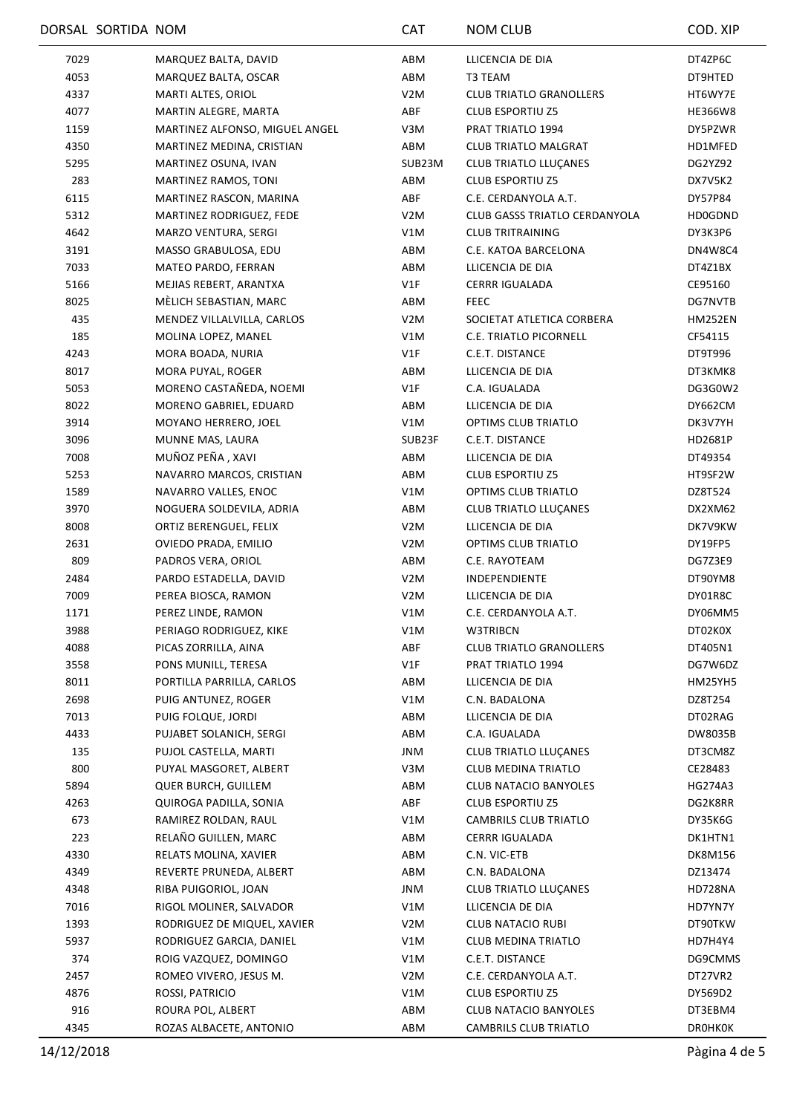|      | DORSAL SORTIDA NOM |                                | <b>CAT</b>       | <b>NOM CLUB</b>                      | COD. XIP       |
|------|--------------------|--------------------------------|------------------|--------------------------------------|----------------|
| 7029 |                    | MARQUEZ BALTA, DAVID           | ABM              | LLICENCIA DE DIA                     | DT4ZP6C        |
| 4053 |                    | MARQUEZ BALTA, OSCAR           | ABM              | T3 TEAM                              | DT9HTED        |
| 4337 |                    | MARTI ALTES, ORIOL             | V <sub>2</sub> M | <b>CLUB TRIATLO GRANOLLERS</b>       | HT6WY7E        |
| 4077 |                    | MARTIN ALEGRE, MARTA           | ABF              | <b>CLUB ESPORTIU Z5</b>              | HE366W8        |
| 1159 |                    | MARTINEZ ALFONSO, MIGUEL ANGEL | V3M              | PRAT TRIATLO 1994                    | DY5PZWR        |
| 4350 |                    | MARTINEZ MEDINA, CRISTIAN      | ABM              | <b>CLUB TRIATLO MALGRAT</b>          | HD1MFED        |
| 5295 |                    | MARTINEZ OSUNA, IVAN           | SUB23M           | <b>CLUB TRIATLO LLUÇANES</b>         | DG2YZ92        |
| 283  |                    | MARTINEZ RAMOS, TONI           | ABM              | <b>CLUB ESPORTIU Z5</b>              | DX7V5K2        |
| 6115 |                    | MARTINEZ RASCON, MARINA        | ABF              | C.E. CERDANYOLA A.T.                 | DY57P84        |
| 5312 |                    | MARTINEZ RODRIGUEZ, FEDE       | V <sub>2</sub> M | <b>CLUB GASSS TRIATLO CERDANYOLA</b> | HD0GDND        |
| 4642 |                    | MARZO VENTURA, SERGI           | V1M              | <b>CLUB TRITRAINING</b>              | DY3K3P6        |
| 3191 |                    | MASSO GRABULOSA, EDU           | ABM              | C.E. KATOA BARCELONA                 | DN4W8C4        |
| 7033 |                    | MATEO PARDO, FERRAN            | ABM              | LLICENCIA DE DIA                     | DT4Z1BX        |
| 5166 |                    | MEJIAS REBERT, ARANTXA         | V1F              | CERRR IGUALADA                       | CE95160        |
| 8025 |                    | MÈLICH SEBASTIAN, MARC         | ABM              | <b>FEEC</b>                          | DG7NVTB        |
| 435  |                    | MENDEZ VILLALVILLA, CARLOS     | V2M              | SOCIETAT ATLETICA CORBERA            | <b>HM252EN</b> |
| 185  |                    | MOLINA LOPEZ, MANEL            | V1M              | C.E. TRIATLO PICORNELL               | CF54115        |
| 4243 |                    | MORA BOADA, NURIA              | V1F              | C.E.T. DISTANCE                      | DT9T996        |
| 8017 |                    | MORA PUYAL, ROGER              | ABM              | LLICENCIA DE DIA                     | DT3KMK8        |
| 5053 |                    | MORENO CASTAÑEDA, NOEMI        | V1F              | C.A. IGUALADA                        | DG3G0W2        |
| 8022 |                    | MORENO GABRIEL, EDUARD         | ABM              | LLICENCIA DE DIA                     | DY662CM        |
| 3914 |                    | MOYANO HERRERO, JOEL           | V1M              | OPTIMS CLUB TRIATLO                  | DK3V7YH        |
| 3096 |                    | MUNNE MAS, LAURA               | SUB23F           | C.E.T. DISTANCE                      | HD2681P        |
| 7008 |                    | MUÑOZ PEÑA, XAVI               | ABM              | LLICENCIA DE DIA                     | DT49354        |
| 5253 |                    | NAVARRO MARCOS, CRISTIAN       | ABM              | <b>CLUB ESPORTIU Z5</b>              | HT9SF2W        |
| 1589 |                    | NAVARRO VALLES, ENOC           | V1M              | OPTIMS CLUB TRIATLO                  | DZ8T524        |
| 3970 |                    | NOGUERA SOLDEVILA, ADRIA       | ABM              | CLUB TRIATLO LLUÇANES                | DX2XM62        |
| 8008 |                    | ORTIZ BERENGUEL, FELIX         | V2M              | LLICENCIA DE DIA                     | DK7V9KW        |
| 2631 |                    | OVIEDO PRADA, EMILIO           | V <sub>2</sub> M | OPTIMS CLUB TRIATLO                  | DY19FP5        |
| 809  |                    | PADROS VERA, ORIOL             | ABM              | C.E. RAYOTEAM                        | DG7Z3E9        |
| 2484 |                    | PARDO ESTADELLA, DAVID         | V <sub>2</sub> M | INDEPENDIENTE                        | DT90YM8        |
| 7009 |                    | PEREA BIOSCA, RAMON            | V <sub>2</sub> M | LLICENCIA DE DIA                     | DY01R8C        |
| 1171 |                    | PEREZ LINDE, RAMON             | V1M              | C.E. CERDANYOLA A.T.                 | DY06MM5        |
| 3988 |                    | PERIAGO RODRIGUEZ, KIKE        | V1M              | W3TRIBCN                             | DT02K0X        |
| 4088 |                    | PICAS ZORRILLA, AINA           | ABF              | <b>CLUB TRIATLO GRANOLLERS</b>       | DT405N1        |
| 3558 |                    | PONS MUNILL, TERESA            | V1F              | PRAT TRIATLO 1994                    | DG7W6DZ        |
| 8011 |                    | PORTILLA PARRILLA, CARLOS      | ABM              | LLICENCIA DE DIA                     | HM25YH5        |
| 2698 |                    | PUIG ANTUNEZ, ROGER            | V1M              | C.N. BADALONA                        | DZ8T254        |
| 7013 |                    | PUIG FOLQUE, JORDI             | ABM              | LLICENCIA DE DIA                     | DT02RAG        |
| 4433 |                    | PUJABET SOLANICH, SERGI        | ABM              | C.A. IGUALADA                        | DW8035B        |
| 135  |                    | PUJOL CASTELLA, MARTI          | JNM              | <b>CLUB TRIATLO LLUÇANES</b>         | DT3CM8Z        |
| 800  |                    | PUYAL MASGORET, ALBERT         | V3M              | CLUB MEDINA TRIATLO                  | CE28483        |
| 5894 |                    | <b>QUER BURCH, GUILLEM</b>     | ABM              | CLUB NATACIO BANYOLES                | HG274A3        |
| 4263 |                    | QUIROGA PADILLA, SONIA         | ABF              | <b>CLUB ESPORTIU Z5</b>              | DG2K8RR        |
| 673  |                    | RAMIREZ ROLDAN, RAUL           | V1M              | CAMBRILS CLUB TRIATLO                | DY35K6G        |
| 223  |                    | RELAÑO GUILLEN, MARC           | ABM              | <b>CERRR IGUALADA</b>                | DK1HTN1        |
| 4330 |                    | RELATS MOLINA, XAVIER          | ABM              | C.N. VIC-ETB                         | DK8M156        |
| 4349 |                    | REVERTE PRUNEDA, ALBERT        | ABM              | C.N. BADALONA                        | DZ13474        |
| 4348 |                    | RIBA PUIGORIOL, JOAN           | JNM              | CLUB TRIATLO LLUÇANES                | HD728NA        |
| 7016 |                    | RIGOL MOLINER, SALVADOR        | V1M              | LLICENCIA DE DIA                     | HD7YN7Y        |
| 1393 |                    | RODRIGUEZ DE MIQUEL, XAVIER    | V2M              | <b>CLUB NATACIO RUBI</b>             | DT90TKW        |
| 5937 |                    | RODRIGUEZ GARCIA, DANIEL       | V1M              | CLUB MEDINA TRIATLO                  | HD7H4Y4        |
| 374  |                    | ROIG VAZQUEZ, DOMINGO          | V1M              | C.E.T. DISTANCE                      | DG9CMMS        |
| 2457 |                    | ROMEO VIVERO, JESUS M.         | V <sub>2</sub> M | C.E. CERDANYOLA A.T.                 | DT27VR2        |
| 4876 |                    | ROSSI, PATRICIO                | V1M              | <b>CLUB ESPORTIU Z5</b>              | DY569D2        |
| 916  |                    | ROURA POL, ALBERT              | ABM              | <b>CLUB NATACIO BANYOLES</b>         | DT3EBM4        |
| 4345 |                    | ROZAS ALBACETE, ANTONIO        | ABM              | CAMBRILS CLUB TRIATLO                | <b>DROHKOK</b> |
|      |                    |                                |                  |                                      |                |